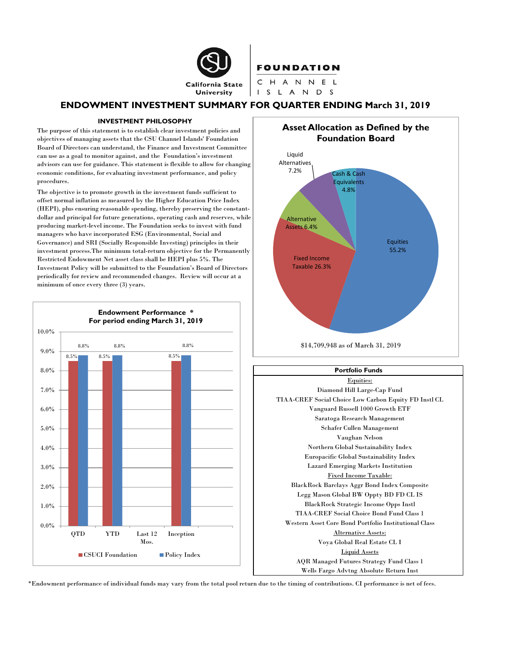

## **FOUNDATION**

CHANNEL I S L A N D S

## **ENDOWMENT INVESTMENT SUMMARY FOR QUARTER ENDING March 31, 2019**

#### **INVESTMENT PHILOSOPHY**

The purpose of this statement is to establish clear investment policies and objectives of managing assets that the CSU Channel Islands' Foundation Board of Directors can understand, the Finance and Investment Committee can use as a goal to monitor against, and the Foundation's investment advisors can use for guidance. This statement is flexible to allow for changing economic conditions, for evaluating investment performance, and policy procedures.

The objective is to promote growth in the investment funds sufficient to offset normal inflation as measured by the Higher Education Price Index (HEPI), plus ensuring reasonable spending, thereby preserving the constantdollar and principal for future generations, operating cash and reserves, while producing market-level income. The Foundation seeks to invest with fund managers who have incorporated ESG (Environmental, Social and Governance) and SRI (Socially Responsible Investing) principles in their investment process.The minimum total-return objective for the Permanently Restricted Endowment Net asset class shall be HEPI plus 5%. The Investment Policy will be submitted to the Foundation's Board of Directors periodically for review and recommended changes. Review will occur at a minimum of once every three (3) years.





## Equities: Diamond Hill Large-Cap Fund TIAA-CREF Social Choice Low Carbon Equity FD Instl CL Vanguard Russell 1000 Growth ETF Saratoga Research Management Schafer Cullen Management Vaughan Nelson Northern Global Sustainability Index Europacific Global Sustainability Index Lazard Emerging Markets Institution Fixed Income Taxable: BlackRock Barclays Aggr Bond Index Composite Legg Mason Global BW Oppty BD FD CL IS BlackRock Strategic Income Opps Instl TIAA-CREF Social Choice Bond Fund Class 1 Western Asset Core Bond Portfolio Institutional Class Alternative Assets: Voya Global Real Estate CL I Liquid Assets AQR Managed Futures Strategy Fund Class 1 Wells Fargo Advtng Absolute Return Inst **Portfolio Funds**

\*Endowment performance of individual funds may vary from the total pool return due to the timing of contributions. CI performance is net of fees.